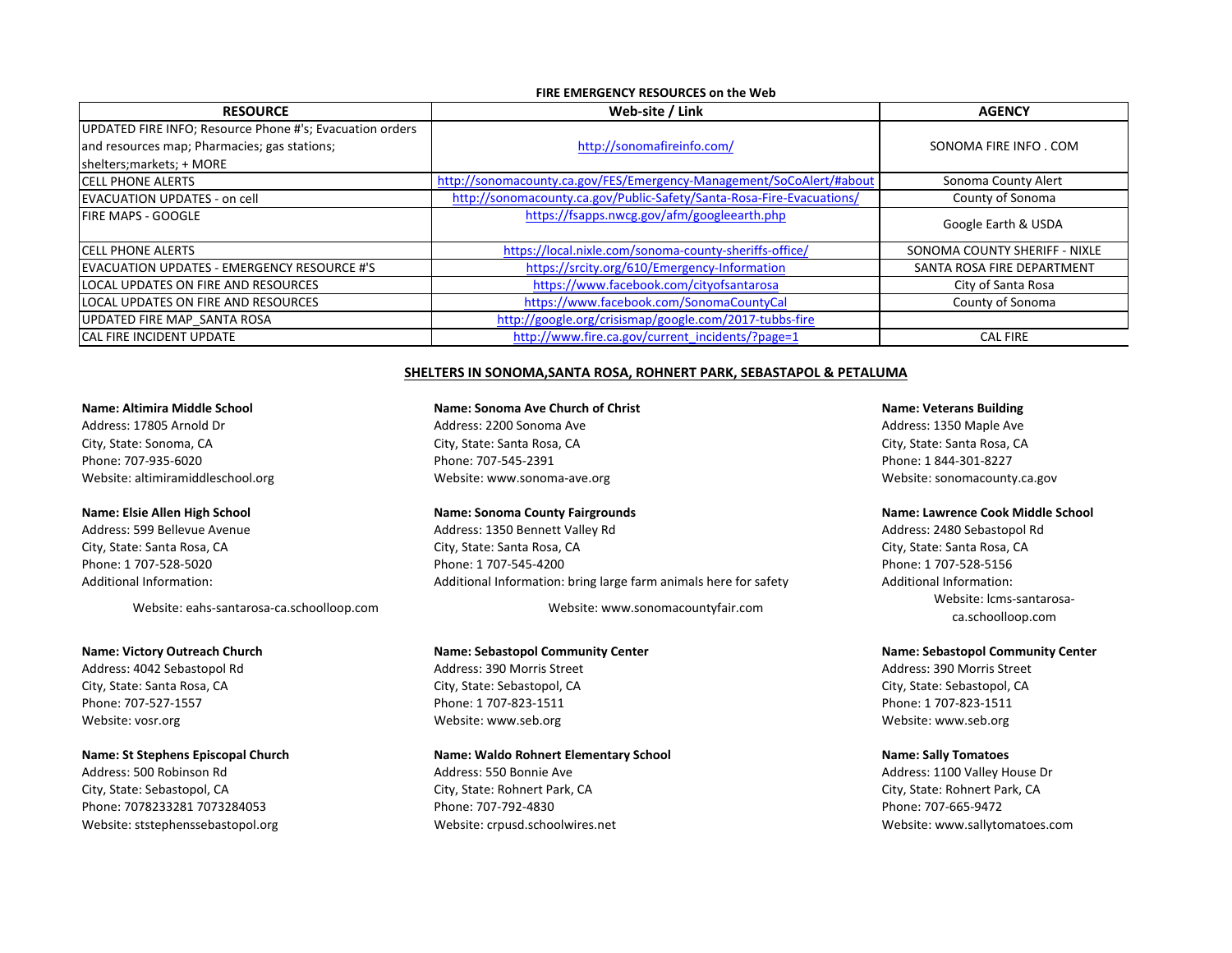### **FIRE EMERGENCY RESOURCES on the Web**

| <b>RESOURCE</b>                                          | Web-site / Link                                                       | <b>AGENCY</b>                 |
|----------------------------------------------------------|-----------------------------------------------------------------------|-------------------------------|
| UPDATED FIRE INFO; Resource Phone #'s; Evacuation orders |                                                                       |                               |
| and resources map; Pharmacies; gas stations;             | http://sonomafireinfo.com/                                            | SONOMA FIRE INFO. COM         |
| shelters; markets; + MORE                                |                                                                       |                               |
| <b>ICELL PHONE ALERTS</b>                                | http://sonomacounty.ca.gov/FES/Emergency-Management/SoCoAlert/#about  | Sonoma County Alert           |
| EVACUATION UPDATES - on cell                             | http://sonomacounty.ca.gov/Public-Safety/Santa-Rosa-Fire-Evacuations/ | County of Sonoma              |
| <b>IFIRE MAPS - GOOGLE</b>                               | https://fsapps.nwcg.gov/afm/googleearth.php                           | Google Earth & USDA           |
| <b>ICELL PHONE ALERTS</b>                                | https://local.nixle.com/sonoma-county-sheriffs-office/                | SONOMA COUNTY SHERIFF - NIXLE |
| EVACUATION UPDATES - EMERGENCY RESOURCE #'S              | https://srcity.org/610/Emergency-Information                          | SANTA ROSA FIRE DEPARTMENT    |
| LOCAL UPDATES ON FIRE AND RESOURCES                      | https://www.facebook.com/cityofsantarosa                              | City of Santa Rosa            |
| LOCAL UPDATES ON FIRE AND RESOURCES                      | https://www.facebook.com/SonomaCountyCal                              | County of Sonoma              |
| UPDATED FIRE MAP SANTA ROSA                              | http://google.org/crisismap/google.com/2017-tubbs-fire                |                               |
| <b>CAL FIRE INCIDENT UPDATE</b>                          | http://www.fire.ca.gov/current_incidents/?page=1                      | <b>CAL FIRE</b>               |

### SHELTERS IN SONOMA, SANTA ROSA, ROHNERT PARK, SEBASTAPOL & PETALUMA

### **Name:** Altimira Middle School **Name: Name:** Sonoma Ave Church of Christ **Name:** Name: Veterans Building

Phone: 707-935-6020 **Phone:** TO7-545-2391 Phone: 1 844-301-8227 Website: altimiramiddleschool.org examples and the experiment website: www.sonoma-ave.org examples website: website: website: www.sonoma-ave.org examples and the examples website: sonomacounty.ca.gov

Address: 500 Robinson Rd **Access**: 100 Valley House Dr Address: 150 Bonnie Ave **Access: 1100 Valley House Dr** Address: 1100 Valley House Dr City, State: Sebastopol, CA City, Carress City, State: Rohnert Park, CA City, State: Rohnert Park, CA City, State: Rohnert Park, CA Phone: 7078233281 7073284053 Phone: 707-665-9472 Phone: 707-792-4830 Phone: 707-665-9472 Website: ststephenssebastopol.org website: www.sallytomatoes.com website: crpusd.schoolwires.net www.sallytomatoes.com website: www.sallytomatoes.com

# Address: 17805 Arnold Dr **Ackless:** 2200 Sonoma Ave Address: 1350 Maple Ave Address: 1350 Maple Ave City, State: Sonoma, CA City, State: Santa Rosa, CA City, State: Santa Rosa, CA City, State: Santa Rosa, CA

Address: 599 Bellevue Avenue **Aucher Address:** 1350 Bennett Valley Rd **Address:** 2480 Sebastopol Rd Address: 2480 Sebastopol Rd City, State: Santa Rosa, CA City, State: Santa Rosa, CA City, State: Santa Rosa, CA City, State: Santa Rosa, CA Phone: 1 707-528-5020 Phone: 1 707-528-5156 Phone: 1 707-545-4200 Phone: 1 707-528-5156 Additional Information: and the Collection and Additional Information: bring large farm animals here for safety and Additional Information:

### **Name: Victory Outreach Church Name: Sebastopol Community Center Name: Sebastopol Community Center**

City, State: Santa Rosa, CA and the City of City, State: Sebastopol, CA city, State: Sebastopol, CA city, State: Sebastopol, CA Phone: 707-527-1557 **Phone:** 1 707-823-1511 **Phone:** 1 707-823-1511 **Phone:** 1 707-823-1511 Website: vosr.org Website: www.seb.org Website: www.seb.org Website: www.seb.org Website: www.seb.org Website: www.seb.org Website: www.seb.org Website: www.seb.org Website: www.seb.org Website: www.seb.org Website: www.se

### **Name:** St Stephens Episcopal Church **Name:** Name: Waldo Rohnert Elementary School **Name:** Sally Tomatoes

### Name: Elsie Allen High School **Name: Sonoma County Fairgrounds Name:** Name: Lawrence Cook Middle School

Website: eahs-santarosa-ca.schoolloop.com Website: www.sonomacountyfair.com Website: www.sonomacountyfair.com ca.schoolloop.com

Address: 4042 Sebastopol Rd **Address:** 390 Morris Street Address: 390 Morris Street Address: 390 Morris Street